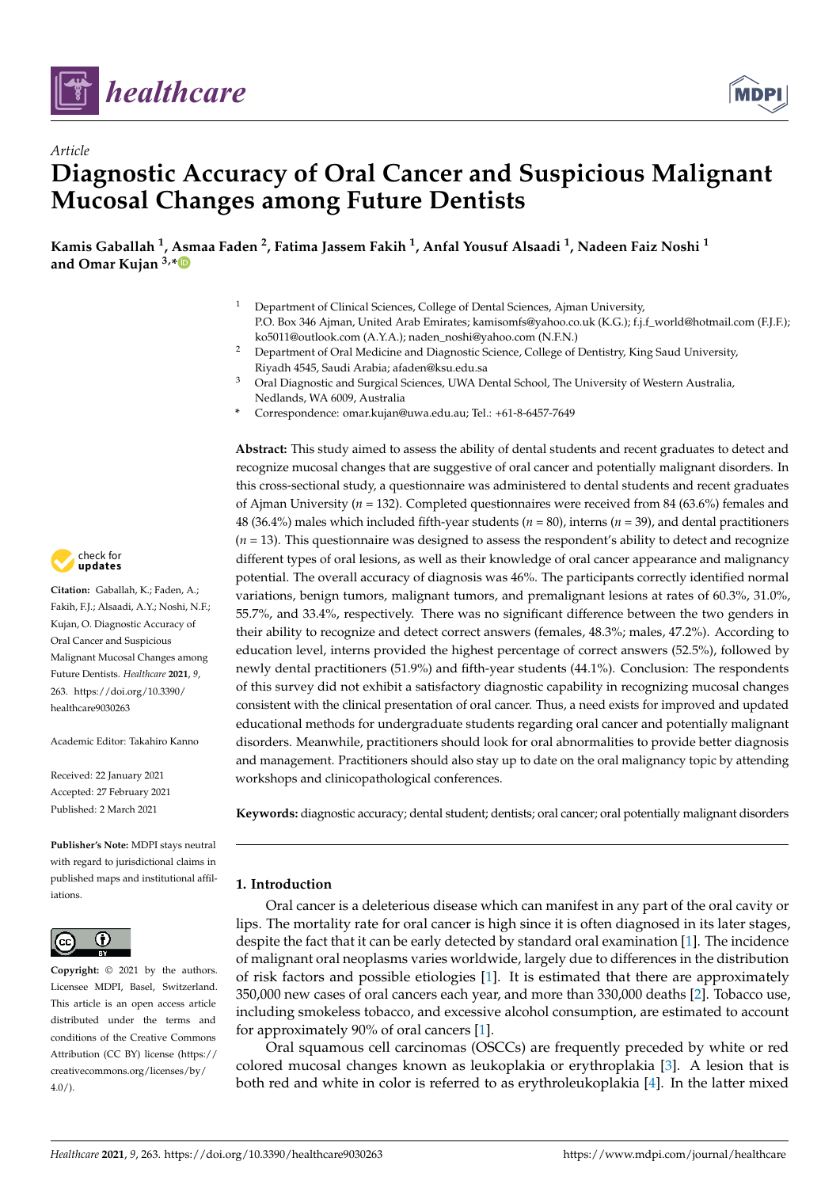



# *Article* **Diagnostic Accuracy of Oral Cancer and Suspicious Malignant Mucosal Changes among Future Dentists**

**Kamis Gaballah <sup>1</sup> , Asmaa Faden <sup>2</sup> , Fatima Jassem Fakih <sup>1</sup> , Anfal Yousuf Alsaadi <sup>1</sup> , Nadeen Faiz Noshi <sup>1</sup> and Omar Kujan 3,\***

- <sup>1</sup> Department of Clinical Sciences, College of Dental Sciences, Ajman University, P.O. Box 346 Ajman, United Arab Emirates; kamisomfs@yahoo.co.uk (K.G.); f.j.f\_world@hotmail.com (F.J.F.); ko5011@outlook.com (A.Y.A.); naden\_noshi@yahoo.com (N.F.N.)
- <sup>2</sup> Department of Oral Medicine and Diagnostic Science, College of Dentistry, King Saud University, Riyadh 4545, Saudi Arabia; afaden@ksu.edu.sa
- <sup>3</sup> Oral Diagnostic and Surgical Sciences, UWA Dental School, The University of Western Australia, Nedlands, WA 6009, Australia
- **\*** Correspondence: omar.kujan@uwa.edu.au; Tel.: +61-8-6457-7649

**Abstract:** This study aimed to assess the ability of dental students and recent graduates to detect and recognize mucosal changes that are suggestive of oral cancer and potentially malignant disorders. In this cross-sectional study, a questionnaire was administered to dental students and recent graduates of Ajman University (*n* = 132). Completed questionnaires were received from 84 (63.6%) females and 48 (36.4%) males which included fifth-year students (*n* = 80), interns (*n* = 39), and dental practitioners (*n* = 13). This questionnaire was designed to assess the respondent's ability to detect and recognize different types of oral lesions, as well as their knowledge of oral cancer appearance and malignancy potential. The overall accuracy of diagnosis was 46%. The participants correctly identified normal variations, benign tumors, malignant tumors, and premalignant lesions at rates of 60.3%, 31.0%, 55.7%, and 33.4%, respectively. There was no significant difference between the two genders in their ability to recognize and detect correct answers (females, 48.3%; males, 47.2%). According to education level, interns provided the highest percentage of correct answers (52.5%), followed by newly dental practitioners (51.9%) and fifth-year students (44.1%). Conclusion: The respondents of this survey did not exhibit a satisfactory diagnostic capability in recognizing mucosal changes consistent with the clinical presentation of oral cancer. Thus, a need exists for improved and updated educational methods for undergraduate students regarding oral cancer and potentially malignant disorders. Meanwhile, practitioners should look for oral abnormalities to provide better diagnosis and management. Practitioners should also stay up to date on the oral malignancy topic by attending workshops and clinicopathological conferences.

**Keywords:** diagnostic accuracy; dental student; dentists; oral cancer; oral potentially malignant disorders

# **1. Introduction**

Oral cancer is a deleterious disease which can manifest in any part of the oral cavity or lips. The mortality rate for oral cancer is high since it is often diagnosed in its later stages, despite the fact that it can be early detected by standard oral examination [1]. The incidence of malignant oral neoplasms varies worldwide, largely due to differences in the distribution of risk factors and possible etiologies [1]. It is estimated that there are approximately 350,000 new cases of oral cancers each year, and more than 330,000 deaths [2]. Tobacco use, including smokeless tobacco, and excessive alcohol consumption, are estimated to account for approximately 90% of oral cancers [1].

Oral squamous cell carcinomas (OSCCs) are frequently preceded by white or red colored mucosal changes known as leukoplakia or erythroplakia [3]. A lesion that is both red and white in color is referred to as erythroleukoplakia [4]. In the latter mixed



**Citation:** Gaballah, K.; Faden, A.; Fakih, F.J.; Alsaadi, A.Y.; Noshi, N.F.; Kujan, O. Diagnostic Accuracy of Oral Cancer and Suspicious Malignant Mucosal Changes among Future Dentists. *Healthcare* **2021**, *9*, 263. https://doi.org/10.3390/ healthcare9030263

Academic Editor: Takahiro Kanno

Received: 22 January 2021 Accepted: 27 February 2021 Published: 2 March 2021

**Publisher's Note:** MDPI stays neutral with regard to jurisdictional claims in published maps and institutional affiliations.



**Copyright:** © 2021 by the authors. Licensee MDPI, Basel, Switzerland. This article is an open access article distributed under the terms and conditions of the Creative Commons Attribution (CC BY) license (https:// creativecommons.org/licenses/by/  $4.0/$ ).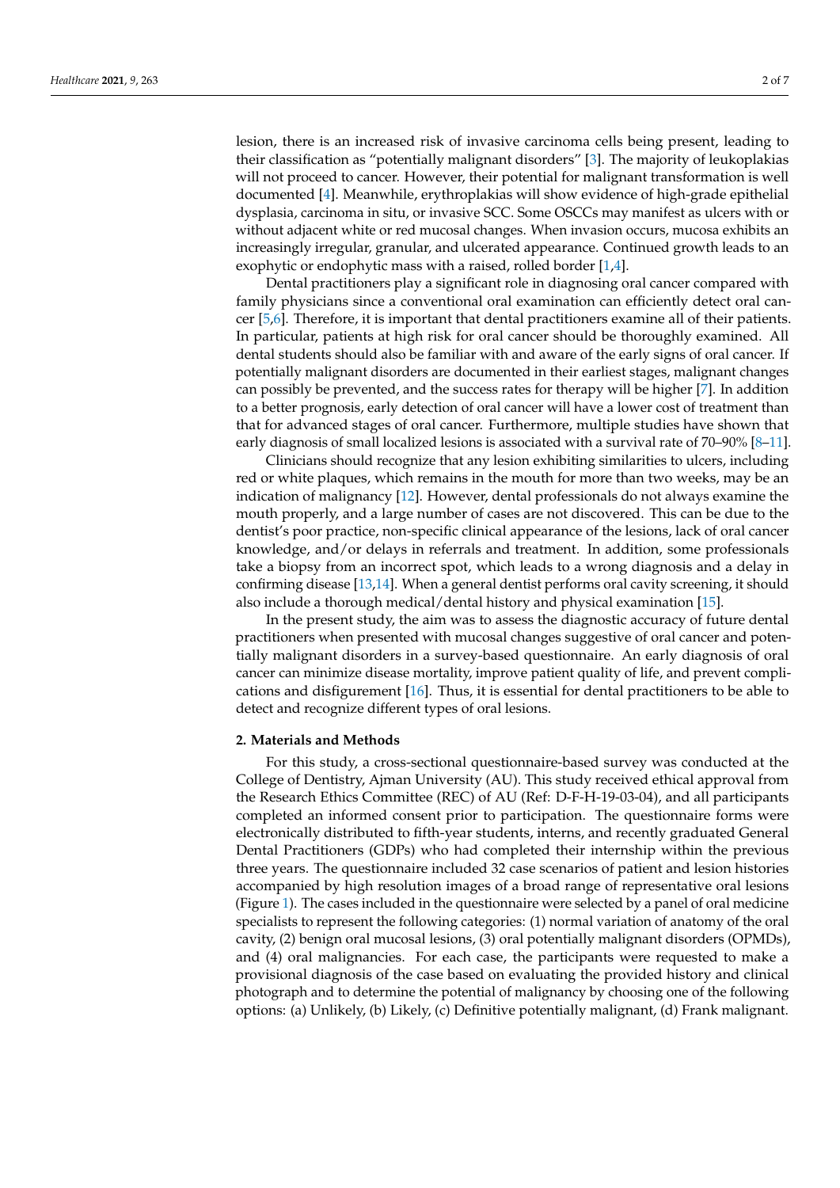lesion, there is an increased risk of invasive carcinoma cells being present, leading to their classification as "potentially malignant disorders" [3]. The majority of leukoplakias will not proceed to cancer. However, their potential for malignant transformation is well documented [4]. Meanwhile, erythroplakias will show evidence of high-grade epithelial dysplasia, carcinoma in situ, or invasive SCC. Some OSCCs may manifest as ulcers with or without adjacent white or red mucosal changes. When invasion occurs, mucosa exhibits an increasingly irregular, granular, and ulcerated appearance. Continued growth leads to an exophytic or endophytic mass with a raised, rolled border [1,4].

Dental practitioners play a significant role in diagnosing oral cancer compared with family physicians since a conventional oral examination can efficiently detect oral cancer [5,6]. Therefore, it is important that dental practitioners examine all of their patients. In particular, patients at high risk for oral cancer should be thoroughly examined. All dental students should also be familiar with and aware of the early signs of oral cancer. If potentially malignant disorders are documented in their earliest stages, malignant changes can possibly be prevented, and the success rates for therapy will be higher [7]. In addition to a better prognosis, early detection of oral cancer will have a lower cost of treatment than that for advanced stages of oral cancer. Furthermore, multiple studies have shown that early diagnosis of small localized lesions is associated with a survival rate of 70–90% [8–11].

Clinicians should recognize that any lesion exhibiting similarities to ulcers, including red or white plaques, which remains in the mouth for more than two weeks, may be an indication of malignancy [12]. However, dental professionals do not always examine the mouth properly, and a large number of cases are not discovered. This can be due to the dentist's poor practice, non-specific clinical appearance of the lesions, lack of oral cancer knowledge, and/or delays in referrals and treatment. In addition, some professionals take a biopsy from an incorrect spot, which leads to a wrong diagnosis and a delay in confirming disease [13,14]. When a general dentist performs oral cavity screening, it should also include a thorough medical/dental history and physical examination [15].

In the present study, the aim was to assess the diagnostic accuracy of future dental practitioners when presented with mucosal changes suggestive of oral cancer and potentially malignant disorders in a survey-based questionnaire. An early diagnosis of oral cancer can minimize disease mortality, improve patient quality of life, and prevent complications and disfigurement [16]. Thus, it is essential for dental practitioners to be able to detect and recognize different types of oral lesions.

## **2. Materials and Methods**

For this study, a cross-sectional questionnaire-based survey was conducted at the College of Dentistry, Ajman University (AU). This study received ethical approval from the Research Ethics Committee (REC) of AU (Ref: D-F-H-19-03-04), and all participants completed an informed consent prior to participation. The questionnaire forms were electronically distributed to fifth-year students, interns, and recently graduated General Dental Practitioners (GDPs) who had completed their internship within the previous three years. The questionnaire included 32 case scenarios of patient and lesion histories accompanied by high resolution images of a broad range of representative oral lesions (Figure 1). The cases included in the questionnaire were selected by a panel of oral medicine specialists to represent the following categories: (1) normal variation of anatomy of the oral cavity, (2) benign oral mucosal lesions, (3) oral potentially malignant disorders (OPMDs), and (4) oral malignancies. For each case, the participants were requested to make a provisional diagnosis of the case based on evaluating the provided history and clinical photograph and to determine the potential of malignancy by choosing one of the following options: (a) Unlikely, (b) Likely, (c) Definitive potentially malignant, (d) Frank malignant.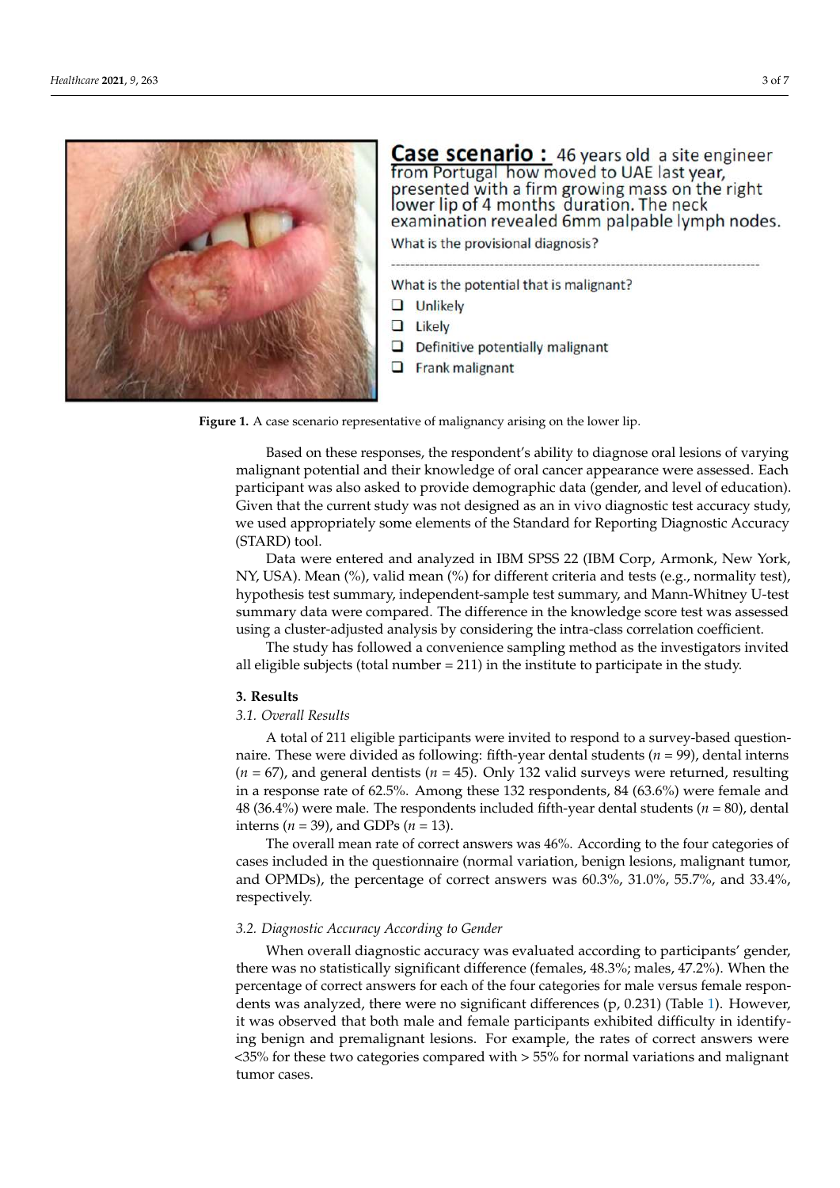

**Case scenario:** 46 years old a site engineer from Portugal how moved to UAE last year, presented with a firm growing mass on the right lower lip of 4 months duration. The neck examination revealed 6mm palpable lymph nodes.

What is the provisional diagnosis?

What is the potential that is malignant?

- $\Box$  Unlikely
- $\Box$  Likely
- $\Box$  Definitive potentially malignant
- $\Box$  Frank malignant

**Figure 1.** A case scenario representative of malignancy arising on the lower lip.

Based on these responses, the respondent's ability to diagnose oral lesions of varying malignant potential and their knowledge of oral cancer appearance were assessed. Each participant was also asked to provide demographic data (gender, and level of education). Given that the current study was not designed as an in vivo diagnostic test accuracy study, we used appropriately some elements of the Standard for Reporting Diagnostic Accuracy (STARD) tool.

Data were entered and analyzed in IBM SPSS 22 (IBM Corp, Armonk, New York, NY, USA). Mean (%), valid mean (%) for different criteria and tests (e.g., normality test), hypothesis test summary, independent-sample test summary, and Mann-Whitney U-test summary data were compared. The difference in the knowledge score test was assessed using a cluster-adjusted analysis by considering the intra-class correlation coefficient.

The study has followed a convenience sampling method as the investigators invited all eligible subjects (total number = 211) in the institute to participate in the study.

### **3. Results**

## *3.1. Overall Results*

A total of 211 eligible participants were invited to respond to a survey-based questionnaire. These were divided as following: fifth-year dental students (*n* = 99), dental interns (*n* = 67), and general dentists (*n* = 45). Only 132 valid surveys were returned, resulting in a response rate of 62.5%. Among these 132 respondents, 84 (63.6%) were female and 48 (36.4%) were male. The respondents included fifth-year dental students (*n* = 80), dental interns  $(n = 39)$ , and GDPs  $(n = 13)$ .

The overall mean rate of correct answers was 46%. According to the four categories of cases included in the questionnaire (normal variation, benign lesions, malignant tumor, and OPMDs), the percentage of correct answers was 60.3%, 31.0%, 55.7%, and 33.4%, respectively.

#### *3.2. Diagnostic Accuracy According to Gender*

When overall diagnostic accuracy was evaluated according to participants' gender, there was no statistically significant difference (females, 48.3%; males, 47.2%). When the percentage of correct answers for each of the four categories for male versus female respondents was analyzed, there were no significant differences (p, 0.231) (Table 1). However, it was observed that both male and female participants exhibited difficulty in identifying benign and premalignant lesions. For example, the rates of correct answers were <35% for these two categories compared with > 55% for normal variations and malignant tumor cases.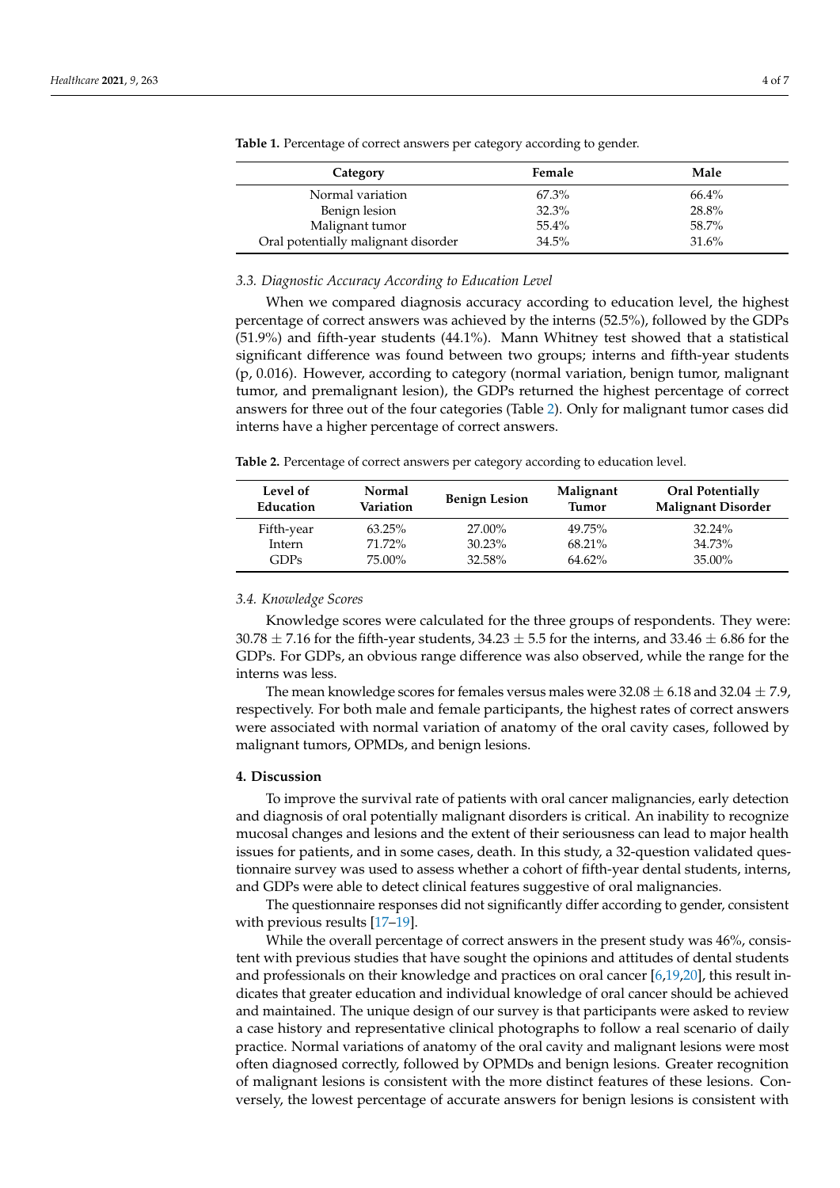| Female | Male  |
|--------|-------|
| 67.3%  | 66.4% |
| 32.3%  | 28.8% |
| 55.4%  | 58.7% |
| 34.5%  | 31.6% |
|        |       |

**Table 1.** Percentage of correct answers per category according to gender.

### *3.3. Diagnostic Accuracy According to Education Level*

When we compared diagnosis accuracy according to education level, the highest percentage of correct answers was achieved by the interns (52.5%), followed by the GDPs (51.9%) and fifth-year students (44.1%). Mann Whitney test showed that a statistical significant difference was found between two groups; interns and fifth-year students (p, 0.016). However, according to category (normal variation, benign tumor, malignant tumor, and premalignant lesion), the GDPs returned the highest percentage of correct answers for three out of the four categories (Table 2). Only for malignant tumor cases did interns have a higher percentage of correct answers.

**Table 2.** Percentage of correct answers per category according to education level.

| Level of<br>Education | Normal<br>Variation | <b>Benign Lesion</b> | Malignant<br><b>Tumor</b> | Oral Potentially<br><b>Malignant Disorder</b> |
|-----------------------|---------------------|----------------------|---------------------------|-----------------------------------------------|
| Fifth-year            | $63.25\%$           | 27.00%               | 49.75%                    | $32.24\%$                                     |
| Intern                | 71.72%              | $30.23\%$            | $68.21\%$                 | 34.73%                                        |
| GDPs                  | 75.00%              | 32.58%               | $64.62\%$                 | $35.00\%$                                     |

### *3.4. Knowledge Scores*

Knowledge scores were calculated for the three groups of respondents. They were: 30.78  $\pm$  7.16 for the fifth-year students, 34.23  $\pm$  5.5 for the interns, and 33.46  $\pm$  6.86 for the GDPs. For GDPs, an obvious range difference was also observed, while the range for the interns was less.

The mean knowledge scores for females versus males were  $32.08 \pm 6.18$  and  $32.04 \pm 7.9$ , respectively. For both male and female participants, the highest rates of correct answers were associated with normal variation of anatomy of the oral cavity cases, followed by malignant tumors, OPMDs, and benign lesions.

## **4. Discussion**

To improve the survival rate of patients with oral cancer malignancies, early detection and diagnosis of oral potentially malignant disorders is critical. An inability to recognize mucosal changes and lesions and the extent of their seriousness can lead to major health issues for patients, and in some cases, death. In this study, a 32-question validated questionnaire survey was used to assess whether a cohort of fifth-year dental students, interns, and GDPs were able to detect clinical features suggestive of oral malignancies.

The questionnaire responses did not significantly differ according to gender, consistent with previous results [17-19].

While the overall percentage of correct answers in the present study was  $46\%$ , consistent with previous studies that have sought the opinions and attitudes of dental students and professionals on their knowledge and practices on oral cancer [6,19,20], this result indicates that greater education and individual knowledge of oral cancer should be achieved and maintained. The unique design of our survey is that participants were asked to review a case history and representative clinical photographs to follow a real scenario of daily practice. Normal variations of anatomy of the oral cavity and malignant lesions were most often diagnosed correctly, followed by OPMDs and benign lesions. Greater recognition of malignant lesions is consistent with the more distinct features of these lesions. Conversely, the lowest percentage of accurate answers for benign lesions is consistent with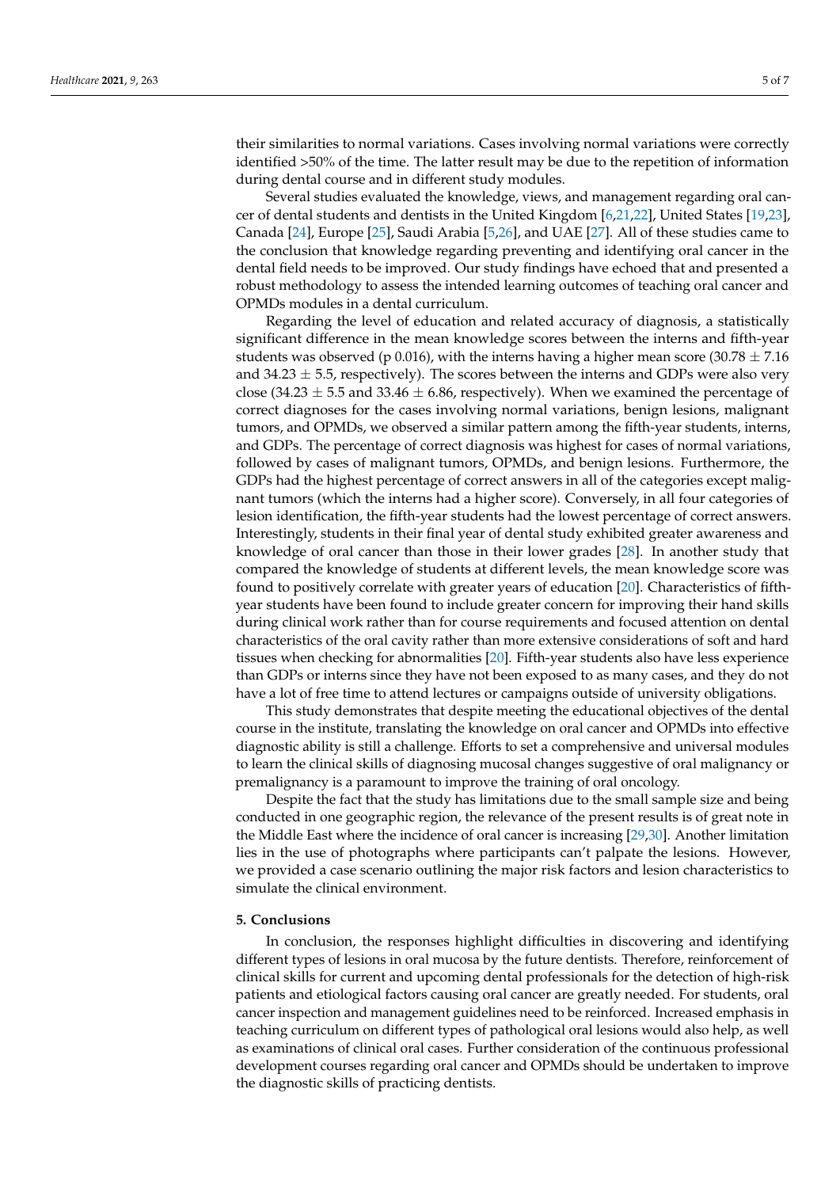their similarities to normal variations. Cases involving normal variations were correctly identified >50% of the time. The latter result may be due to the repetition of information during dental course and in different study modules.

Several studies evaluated the knowledge, views, and management regarding oral cancer of dental students and dentists in the United Kingdom [6,21,22], United States [19,23], Canada [24], Europe [25], Saudi Arabia [5,26], and UAE [27]. All of these studies came to the conclusion that knowledge regarding preventing and identifying oral cancer in the dental field needs to be improved. Our study findings have echoed that and presented a robust methodology to assess the intended learning outcomes of teaching oral cancer and OPMDs modules in a dental curriculum.

Regarding the level of education and related accuracy of diagnosis, a statistically significant difference in the mean knowledge scores between the interns and fifth-year students was observed (p 0.016), with the interns having a higher mean score (30.78  $\pm$  7.16 and  $34.23 \pm 5.5$ , respectively). The scores between the interns and GDPs were also very close (34.23  $\pm$  5.5 and 33.46  $\pm$  6.86, respectively). When we examined the percentage of correct diagnoses for the cases involving normal variations, benign lesions, malignant tumors, and OPMDs, we observed a similar pattern among the fifth-year students, interns, and GDPs. The percentage of correct diagnosis was highest for cases of normal variations, followed by cases of malignant tumors, OPMDs, and benign lesions. Furthermore, the GDPs had the highest percentage of correct answers in all of the categories except malignant tumors (which the interns had a higher score). Conversely, in all four categories of lesion identification, the fifth-year students had the lowest percentage of correct answers. Interestingly, students in their final year of dental study exhibited greater awareness and knowledge of oral cancer than those in their lower grades [28]. In another study that compared the knowledge of students at different levels, the mean knowledge score was found to positively correlate with greater years of education [20]. Characteristics of fifthyear students have been found to include greater concern for improving their hand skills during clinical work rather than for course requirements and focused attention on dental characteristics of the oral cavity rather than more extensive considerations of soft and hard tissues when checking for abnormalities [20]. Fifth-year students also have less experience than GDPs or interns since they have not been exposed to as many cases, and they do not have a lot of free time to attend lectures or campaigns outside of university obligations.

This study demonstrates that despite meeting the educational objectives of the dental course in the institute, translating the knowledge on oral cancer and OPMDs into effective diagnostic ability is still a challenge. Efforts to set a comprehensive and universal modules to learn the clinical skills of diagnosing mucosal changes suggestive of oral malignancy or premalignancy is a paramount to improve the training of oral oncology.

Despite the fact that the study has limitations due to the small sample size and being conducted in one geographic region, the relevance of the present results is of great note in the Middle East where the incidence of oral cancer is increasing [29,30]. Another limitation lies in the use of photographs where participants can't palpate the lesions. However, we provided a case scenario outlining the major risk factors and lesion characteristics to simulate the clinical environment.

## **5. Conclusions**

In conclusion, the responses highlight difficulties in discovering and identifying different types of lesions in oral mucosa by the future dentists. Therefore, reinforcement of clinical skills for current and upcoming dental professionals for the detection of high-risk patients and etiological factors causing oral cancer are greatly needed. For students, oral cancer inspection and management guidelines need to be reinforced. Increased emphasis in teaching curriculum on different types of pathological oral lesions would also help, as well as examinations of clinical oral cases. Further consideration of the continuous professional development courses regarding oral cancer and OPMDs should be undertaken to improve the diagnostic skills of practicing dentists.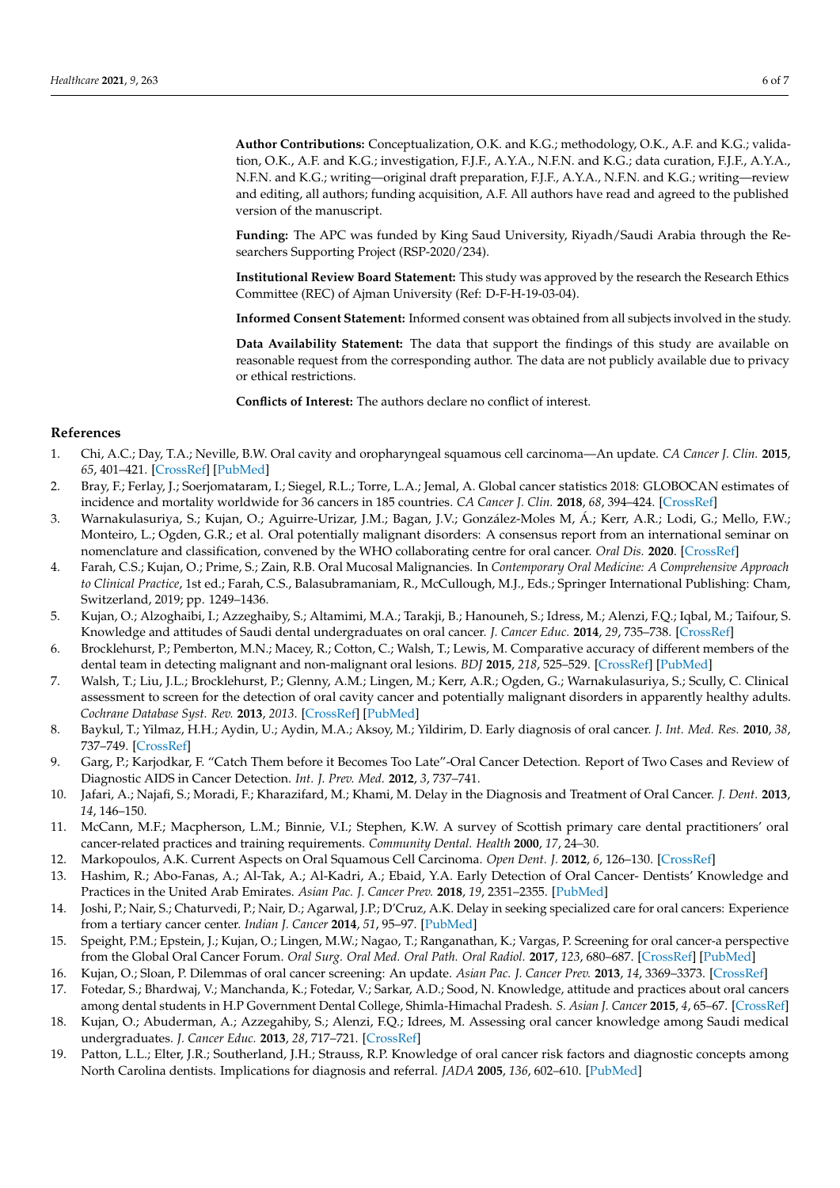**Author Contributions:** Conceptualization, O.K. and K.G.; methodology, O.K., A.F. and K.G.; validation, O.K., A.F. and K.G.; investigation, F.J.F., A.Y.A., N.F.N. and K.G.; data curation, F.J.F., A.Y.A., N.F.N. and K.G.; writing—original draft preparation, F.J.F., A.Y.A., N.F.N. and K.G.; writing—review and editing, all authors; funding acquisition, A.F. All authors have read and agreed to the published version of the manuscript.

**Funding:** The APC was funded by King Saud University, Riyadh/Saudi Arabia through the Researchers Supporting Project (RSP-2020/234).

**Institutional Review Board Statement:** This study was approved by the research the Research Ethics Committee (REC) of Ajman University (Ref: D-F-H-19-03-04).

**Informed Consent Statement:** Informed consent was obtained from all subjects involved in the study.

**Data Availability Statement:** The data that support the findings of this study are available on reasonable request from the corresponding author. The data are not publicly available due to privacy or ethical restrictions.

**Conflicts of Interest:** The authors declare no conflict of interest.

#### **References**

- 1. Chi, A.C.; Day, T.A.; Neville, B.W. Oral cavity and oropharyngeal squamous cell carcinoma—An update. *CA Cancer J. Clin.* **2015**, *65*, 401–421. [CrossRef] [PubMed]
- 2. Bray, F.; Ferlay, J.; Soerjomataram, I.; Siegel, R.L.; Torre, L.A.; Jemal, A. Global cancer statistics 2018: GLOBOCAN estimates of incidence and mortality worldwide for 36 cancers in 185 countries. *CA Cancer J. Clin.* **2018**, *68*, 394–424. [CrossRef]
- 3. Warnakulasuriya, S.; Kujan, O.; Aguirre-Urizar, J.M.; Bagan, J.V.; González-Moles M, Á.; Kerr, A.R.; Lodi, G.; Mello, F.W.; Monteiro, L.; Ogden, G.R.; et al. Oral potentially malignant disorders: A consensus report from an international seminar on nomenclature and classification, convened by the WHO collaborating centre for oral cancer. *Oral Dis.* **2020**. [CrossRef]
- 4. Farah, C.S.; Kujan, O.; Prime, S.; Zain, R.B. Oral Mucosal Malignancies. In *Contemporary Oral Medicine: A Comprehensive Approach to Clinical Practice*, 1st ed.; Farah, C.S., Balasubramaniam, R., McCullough, M.J., Eds.; Springer International Publishing: Cham, Switzerland, 2019; pp. 1249–1436.
- 5. Kujan, O.; Alzoghaibi, I.; Azzeghaiby, S.; Altamimi, M.A.; Tarakji, B.; Hanouneh, S.; Idress, M.; Alenzi, F.Q.; Iqbal, M.; Taifour, S. Knowledge and attitudes of Saudi dental undergraduates on oral cancer. *J. Cancer Educ.* **2014**, *29*, 735–738. [CrossRef]
- 6. Brocklehurst, P.; Pemberton, M.N.; Macey, R.; Cotton, C.; Walsh, T.; Lewis, M. Comparative accuracy of different members of the dental team in detecting malignant and non-malignant oral lesions. *BDJ* **2015**, *218*, 525–529. [CrossRef] [PubMed]
- 7. Walsh, T.; Liu, J.L.; Brocklehurst, P.; Glenny, A.M.; Lingen, M.; Kerr, A.R.; Ogden, G.; Warnakulasuriya, S.; Scully, C. Clinical assessment to screen for the detection of oral cavity cancer and potentially malignant disorders in apparently healthy adults. *Cochrane Database Syst. Rev.* **2013**, *2013*. [CrossRef] [PubMed]
- 8. Baykul, T.; Yilmaz, H.H.; Aydin, U.; Aydin, M.A.; Aksoy, M.; Yildirim, D. Early diagnosis of oral cancer. *J. Int. Med. Res.* **2010**, *38*, 737–749. [CrossRef]
- 9. Garg, P.; Karjodkar, F. "Catch Them before it Becomes Too Late"-Oral Cancer Detection. Report of Two Cases and Review of Diagnostic AIDS in Cancer Detection. *Int. J. Prev. Med.* **2012**, *3*, 737–741.
- 10. Jafari, A.; Najafi, S.; Moradi, F.; Kharazifard, M.; Khami, M. Delay in the Diagnosis and Treatment of Oral Cancer. *J. Dent.* **2013**, *14*, 146–150.
- 11. McCann, M.F.; Macpherson, L.M.; Binnie, V.I.; Stephen, K.W. A survey of Scottish primary care dental practitioners' oral cancer-related practices and training requirements. *Community Dental. Health* **2000**, *17*, 24–30.
- 12. Markopoulos, A.K. Current Aspects on Oral Squamous Cell Carcinoma. *Open Dent. J.* **2012**, *6*, 126–130. [CrossRef]
- 13. Hashim, R.; Abo-Fanas, A.; Al-Tak, A.; Al-Kadri, A.; Ebaid, Y.A. Early Detection of Oral Cancer- Dentists' Knowledge and Practices in the United Arab Emirates. *Asian Pac. J. Cancer Prev.* **2018**, *19*, 2351–2355. [PubMed]
- 14. Joshi, P.; Nair, S.; Chaturvedi, P.; Nair, D.; Agarwal, J.P.; D'Cruz, A.K. Delay in seeking specialized care for oral cancers: Experience from a tertiary cancer center. *Indian J. Cancer* **2014**, *51*, 95–97. [PubMed]
- 15. Speight, P.M.; Epstein, J.; Kujan, O.; Lingen, M.W.; Nagao, T.; Ranganathan, K.; Vargas, P. Screening for oral cancer-a perspective from the Global Oral Cancer Forum. *Oral Surg. Oral Med. Oral Path. Oral Radiol.* **2017**, *123*, 680–687. [CrossRef] [PubMed]
- 16. Kujan, O.; Sloan, P. Dilemmas of oral cancer screening: An update. *Asian Pac. J. Cancer Prev.* **2013**, *14*, 3369–3373. [CrossRef]
- 17. Fotedar, S.; Bhardwaj, V.; Manchanda, K.; Fotedar, V.; Sarkar, A.D.; Sood, N. Knowledge, attitude and practices about oral cancers among dental students in H.P Government Dental College, Shimla-Himachal Pradesh. *S. Asian J. Cancer* **2015**, *4*, 65–67. [CrossRef]
- 18. Kujan, O.; Abuderman, A.; Azzegahiby, S.; Alenzi, F.Q.; Idrees, M. Assessing oral cancer knowledge among Saudi medical undergraduates. *J. Cancer Educ.* **2013**, *28*, 717–721. [CrossRef]
- 19. Patton, L.L.; Elter, J.R.; Southerland, J.H.; Strauss, R.P. Knowledge of oral cancer risk factors and diagnostic concepts among North Carolina dentists. Implications for diagnosis and referral. *JADA* **2005**, *136*, 602–610. [PubMed]